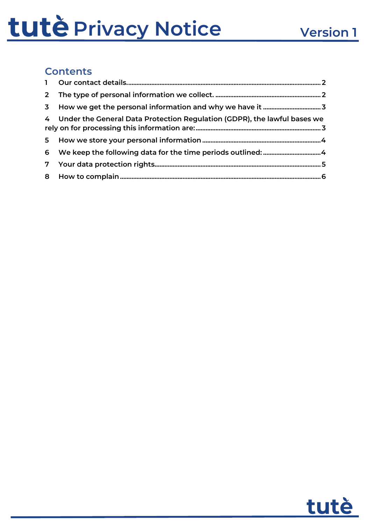#### **Contents**

| 4 Under the General Data Protection Regulation (GDPR), the lawful bases we |
|----------------------------------------------------------------------------|
|                                                                            |
|                                                                            |
|                                                                            |
|                                                                            |

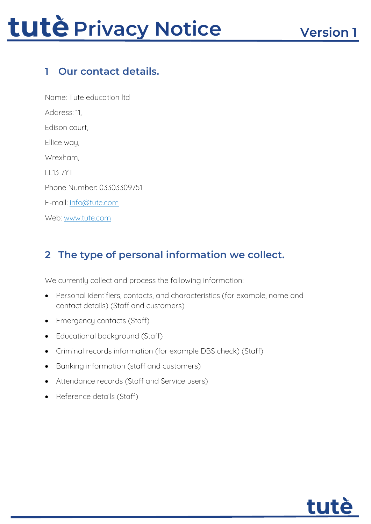### <span id="page-1-0"></span>**1 Our contact details.**

Name: Tute education ltd Address: 11, Edison court, Ellice way, Wrexham, LL13 7YT Phone Number: 03303309751 E-mail: [info@tute.com](mailto:info@tute.com) Web: [www.tute.com](http://www.tute.com/)

### <span id="page-1-1"></span>**2 The type of personal information we collect.**

We currently collect and process the following information:

- Personal identifiers, contacts, and characteristics (for example, name and contact details) (Staff and customers)
- Emergency contacts (Staff)
- Educational background (Staff)
- Criminal records information (for example DBS check) (Staff)
- Banking information (staff and customers)
- Attendance records (Staff and Service users)
- Reference details (Staff)

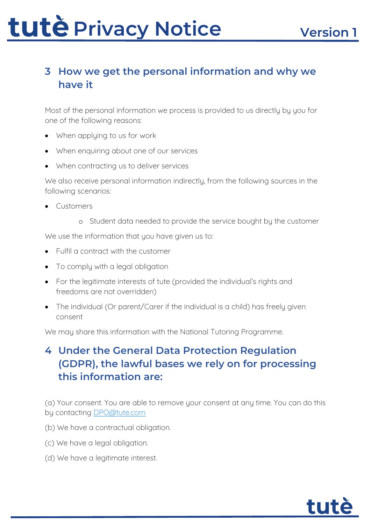### <span id="page-2-0"></span>**3 How we get the personal information and why we have it**

Most of the personal information we process is provided to us directly by you for one of the following reasons:

- When appluing to us for work
- When enquiring about one of our services
- When contracting us to deliver services

We also receive personal information indirectly, from the following sources in the following scenarios:

- Customers
	- o Student data needed to provide the service bought by the customer

We use the information that you have given us to:

- Fulfil a contract with the customer
- To comply with a legal obligation
- For the legitimate interests of tute (provided the individual's rights and freedoms are not overridden)
- The individual (Or parent/Carer if the individual is a child) has freely given consent

We may share this information with the National Tutoring Programme.

### <span id="page-2-1"></span>**4 Under the General Data Protection Regulation (GDPR), the lawful bases we rely on for processing this information are:**

(a) Your consent. You are able to remove your consent at any time. You can do this by contacting<DPO@tute.com>

- (b) We have a contractual obligation.
- (c) We have a legal obligation.
- (d) We have a legitimate interest.

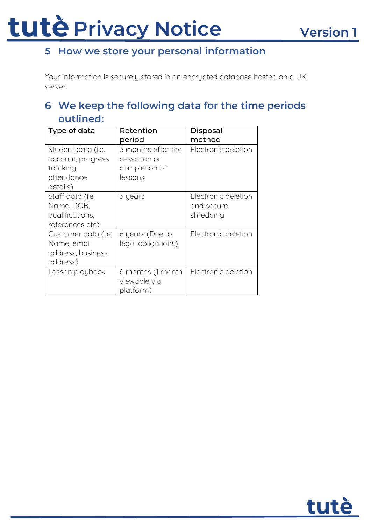### <span id="page-3-0"></span>**5 How we store your personal information**

Your information is securely stored in an encrypted database hosted on a UK server.

### <span id="page-3-1"></span>**6 We keep the following data for the time periods outlined:**

| Type of data        | Retention          | Disposal            |
|---------------------|--------------------|---------------------|
|                     | period             | method              |
| Student data (i.e.  | 3 months after the | Electronic deletion |
| account, progress   | cessation or       |                     |
| tracking,           | completion of      |                     |
| attendance          | lessons            |                     |
| details)            |                    |                     |
| Staff data (i.e.    | 3 years            | Electronic deletion |
| Name, DOB,          |                    | and secure          |
| qualifications,     |                    | shredding           |
| references etc)     |                    |                     |
| Customer data (i.e. | 6 years (Due to    | Electronic deletion |
| Name, email         | legal obligations) |                     |
| address, business   |                    |                     |
| address)            |                    |                     |
| Lesson playback     | 6 months (1 month  | Electronic deletion |
|                     | viewable via       |                     |
|                     | platform)          |                     |

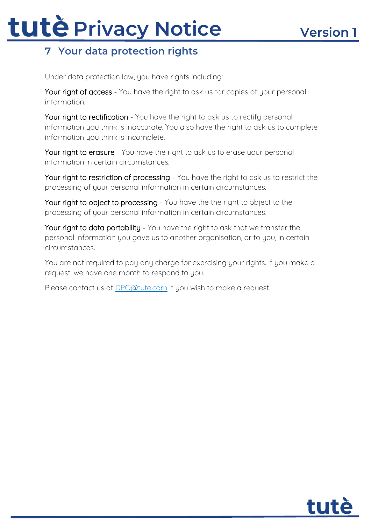### <span id="page-4-0"></span>**7 Your data protection rights**

Under data protection law, you have rights including:

Your right of access - You have the right to ask us for copies of your personal information.

Your right to rectification - You have the right to ask us to rectify personal information you think is inaccurate. You also have the right to ask us to complete information you think is incomplete.

Your right to erasure - You have the right to ask us to erase your personal information in certain circumstances.

Your right to restriction of processing - You have the right to ask us to restrict the processing of your personal information in certain circumstances.

Your right to object to processing - You have the the right to object to the processing of your personal information in certain circumstances.

Your right to data portability - You have the right to ask that we transfer the personal information you gave us to another organisation, or to you, in certain circumstances.

You are not required to pay any charge for exercising your rights. If you make a request, we have one month to respond to you.

Please contact us at **DPO@tute.com** if you wish to make a request.